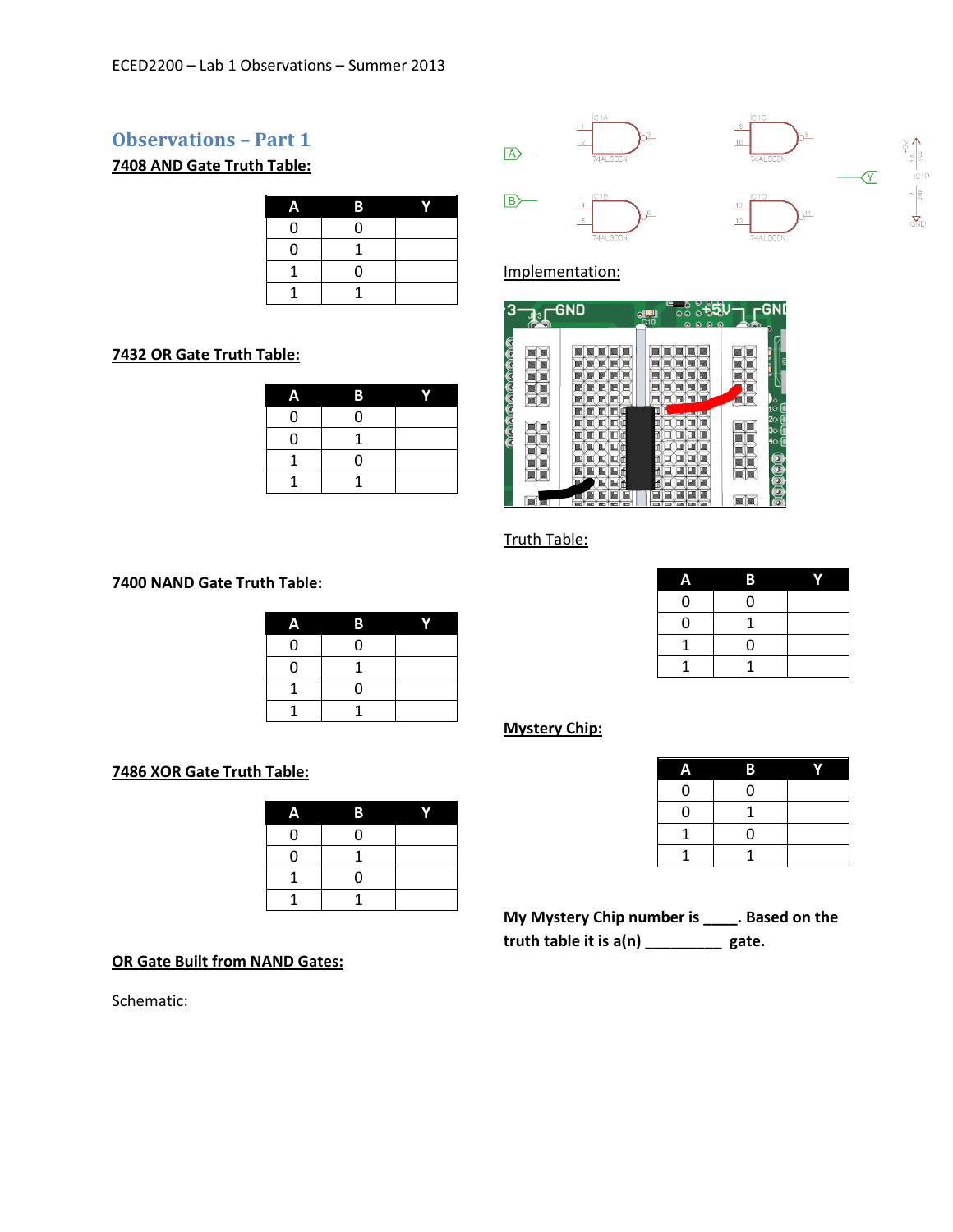## **Observations – Part 1**

**7408 AND Gate Truth Table:**

|   | в |  |
|---|---|--|
| ი | ი |  |
| ი |   |  |
|   | ი |  |
|   |   |  |

### **OR Gate Truth Table:**

| w | В |  |
|---|---|--|
| 0 | 0 |  |
| 0 |   |  |
|   | 0 |  |
|   |   |  |





### Implementation:

|   | <b>GND</b> | $\blacksquare$<br>C10 | c<br>$\Omega$<br>Θ<br>$\Omega$ | YA | ٩C<br>GN                                        |
|---|------------|-----------------------|--------------------------------|----|-------------------------------------------------|
| ŧ |            |                       |                                |    | 9<br>o<br>$\mathbf{i} \circ$                    |
| ē |            |                       |                                |    | 20<br>30<br>٢<br>4o<br>5<br>o<br>$\overline{a}$ |
|   |            |                       |                                |    |                                                 |

### Truth Table:

# **NAND Gate Truth Table:**

| A | В |  |
|---|---|--|
| 0 | 0 |  |
| 0 |   |  |
|   | 0 |  |
|   |   |  |

#### **XOR Gate Truth Table:**

| Α | В |  |
|---|---|--|
| 0 | 0 |  |
| 0 |   |  |
|   | 0 |  |
|   |   |  |

**OR Gate Built from NAND Gates:**

Schematic:

|   | 13       |  |
|---|----------|--|
| C | O        |  |
| D |          |  |
|   | $\Omega$ |  |
|   |          |  |

### **Mystery Chip:**

| e | В |  |
|---|---|--|
| 0 | 0 |  |
| O |   |  |
|   | O |  |
|   |   |  |

**My Mystery Chip number is \_\_\_\_. Based on the truth table it is a(n) \_\_\_\_\_\_\_\_\_ gate.**